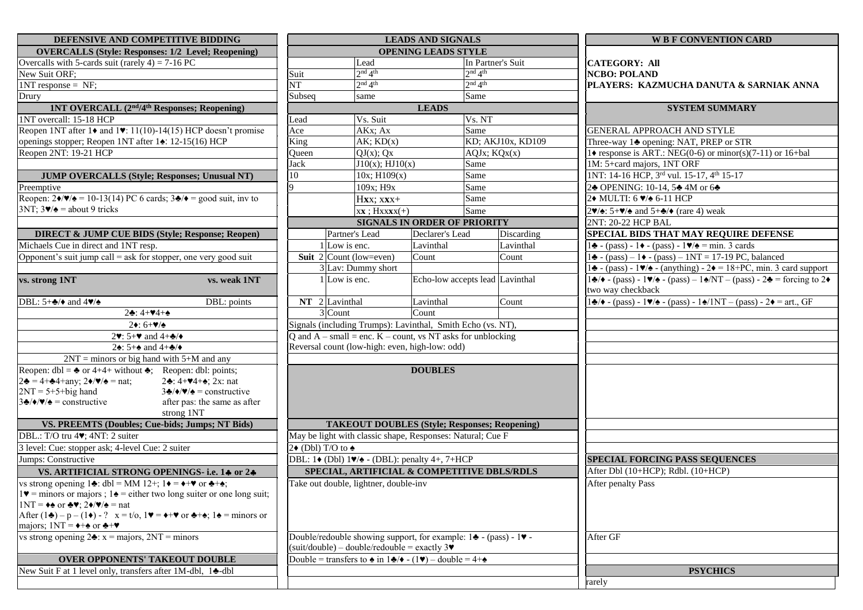| DEFENSIVE AND COMPETITIVE BIDDING                                                                                                                                          | <b>LEADS AND SIGNALS</b>                                                                                                                                    |                                                                                                           |                                     |                                 | <b>WB F CONVENTION CARD</b>                                                                                                                                                 |  |
|----------------------------------------------------------------------------------------------------------------------------------------------------------------------------|-------------------------------------------------------------------------------------------------------------------------------------------------------------|-----------------------------------------------------------------------------------------------------------|-------------------------------------|---------------------------------|-----------------------------------------------------------------------------------------------------------------------------------------------------------------------------|--|
| <b>OVERCALLS (Style: Responses: 1/2 Level; Reopening)</b>                                                                                                                  |                                                                                                                                                             |                                                                                                           | OPENING LEADS STYLE                 |                                 |                                                                                                                                                                             |  |
| Overcalls with 5-cards suit (rarely $4$ ) = 7-16 PC                                                                                                                        | Lead                                                                                                                                                        |                                                                                                           |                                     | In Partner's Suit               | <b>CATEGORY: All</b><br><b>NCBO: POLAND</b>                                                                                                                                 |  |
| New Suit ORF;                                                                                                                                                              | 2 <sup>nd</sup> 4 <sup>th</sup><br>Suit                                                                                                                     |                                                                                                           |                                     | 2 <sup>nd</sup> 4 <sup>th</sup> |                                                                                                                                                                             |  |
| $1NT$ response = NF;                                                                                                                                                       | $\overline{\text{NT}}$                                                                                                                                      | 2 <sup>nd</sup> 4 <sup>th</sup>                                                                           |                                     | 2 <sup>nd</sup> 4 <sup>th</sup> | PLAYERS: KAZMUCHA DANUTA & SARNIAK ANNA                                                                                                                                     |  |
| Drury                                                                                                                                                                      | Subseq                                                                                                                                                      | same                                                                                                      |                                     | Same                            |                                                                                                                                                                             |  |
| 1NT OVERCALL (2 <sup>nd</sup> /4 <sup>th</sup> Responses; Reopening)                                                                                                       |                                                                                                                                                             |                                                                                                           | <b>LEADS</b>                        |                                 | <b>SYSTEM SUMMARY</b>                                                                                                                                                       |  |
| 1NT overcall: 15-18 HCP                                                                                                                                                    | Vs. Suit<br>Lead                                                                                                                                            |                                                                                                           |                                     | Vs. NT                          |                                                                                                                                                                             |  |
| Reopen 1NT after 1 $\bullet$ and 1 $\bullet$ : 11(10)-14(15) HCP doesn't promise                                                                                           | AKx; Ax<br>Ace                                                                                                                                              |                                                                                                           | Same                                |                                 | <b>GENERAL APPROACH AND STYLE</b>                                                                                                                                           |  |
| openings stopper; Reopen 1NT after 14: 12-15(16) HCP                                                                                                                       | King<br>$AK$ ; $KD(x)$                                                                                                                                      |                                                                                                           | KD; AKJ10x, KD109                   |                                 | Three-way 14 opening: NAT, PREP or STR                                                                                                                                      |  |
| Reopen 2NT: 19-21 HCP                                                                                                                                                      | Oueen                                                                                                                                                       | $\overline{QJ}(x)$ ; $Qx$                                                                                 | AQJx; KQx(x)                        |                                 | 1 $\bullet$ response is ART.: NEG(0-6) or minor(s)(7-11) or 16+bal                                                                                                          |  |
|                                                                                                                                                                            | Jack                                                                                                                                                        | $J10(x)$ ; $HJ10(x)$                                                                                      | Same                                |                                 | 1M: 5+card majors, 1NT ORF                                                                                                                                                  |  |
| <b>JUMP OVERCALLS (Style; Responses; Unusual NT)</b>                                                                                                                       | 10                                                                                                                                                          | $10x$ ; $H109(x)$                                                                                         |                                     | Same                            | 1NT: 14-16 HCP, 3rd vul. 15-17, 4th 15-17                                                                                                                                   |  |
| Preemptive                                                                                                                                                                 | Q                                                                                                                                                           | 109x; H9x                                                                                                 |                                     | Same                            | 2♣ OPENING: 10-14, 5♣ 4M or 6♣                                                                                                                                              |  |
| Reopen: $2\sqrt{\frac{9}{2}} = 10-13(14)$ PC 6 cards; $3\sqrt{2} = \frac{9}{2}$ suit, inv to                                                                               | Hxx; xxx+                                                                                                                                                   |                                                                                                           |                                     | Same                            | 2◆ MULTI: 6 ♥/◆ 6-11 HCP                                                                                                                                                    |  |
| $3NT$ ; $3\blacktriangledown/\blacktriangle =$ about 9 tricks                                                                                                              |                                                                                                                                                             | $xx$ ; $Hxxxx(+)$                                                                                         |                                     | Same                            | $2\blacktriangledown/\blacktriangle$ : 5+ $\blacktriangledown/\blacktriangle$ and 5+ $\blacktriangle/\blacktriangledown$ (rare 4) weak                                      |  |
|                                                                                                                                                                            |                                                                                                                                                             |                                                                                                           | <b>SIGNALS IN ORDER OF PRIORITY</b> |                                 | 2NT: 20-22 HCP BAL                                                                                                                                                          |  |
| <b>DIRECT &amp; JUMP CUE BIDS (Style; Response; Reopen)</b>                                                                                                                |                                                                                                                                                             | Partner's Lead                                                                                            | Declarer's Lead                     | Discarding                      | SPECIAL BIDS THAT MAY REQUIRE DEFENSE                                                                                                                                       |  |
| Michaels Cue in direct and 1NT resp.                                                                                                                                       |                                                                                                                                                             | 1 Low is enc.                                                                                             | Lavinthal                           | Lavinthal                       | $1\blacktriangle$ - (pass) - 1 $\blacktriangleright$ - (pass) - 1 $\blacktriangleright$ / $\blacktriangle$ = min. 3 cards                                                   |  |
| Opponent's suit jump call = ask for stopper, one very good suit                                                                                                            |                                                                                                                                                             | <b>Suit</b> 2 Count (low=even)                                                                            | Count                               | Count                           | $1\bigstar$ - (pass) – 1 $\bigstar$ - (pass) – 1NT = 17-19 PC, balanced                                                                                                     |  |
|                                                                                                                                                                            |                                                                                                                                                             | 3 Lav: Dummy short                                                                                        |                                     |                                 | 14 - (pass) - 1 $\blacktriangleright$ /4 - (anything) - 2 $\blacktriangleright$ = 18+PC, min. 3 card support                                                                |  |
| vs. strong 1NT<br>vs. weak 1NT                                                                                                                                             |                                                                                                                                                             | 1 Low is enc.                                                                                             |                                     | Echo-low accepts lead Lavinthal | $1\clubsuit/\bullet$ - (pass) - $1\blacktriangledown/\bullet$ - (pass) - $1\spadesuit/\text{NT}$ - (pass) - $2\clubsuit$ = forcing to $2\blacklozenge$<br>two way checkback |  |
| DBL: $5+\frac{1}{2}$ and $4\sqrt{2}$<br>DBL: points                                                                                                                        | $NT$ 2 Lavinthal                                                                                                                                            |                                                                                                           | Lavinthal                           | Count                           | $1\clubsuit/\bullet$ - (pass) - $1\blacktriangledown/\bullet$ - (pass) - $1\spadesuit/1NT$ - (pass) - $2\blacklozenge$ = art., GF                                           |  |
| $2\cdot 4 + 44 + 4$                                                                                                                                                        | 3 Count                                                                                                                                                     |                                                                                                           | Count                               |                                 |                                                                                                                                                                             |  |
| $2 \div 6 + \frac{1}{2}$                                                                                                                                                   | Signals (including Trumps): Lavinthal, Smith Echo (vs. NT),                                                                                                 |                                                                                                           |                                     |                                 |                                                                                                                                                                             |  |
| 2 $\blacktriangledown$ : 5+ $\blacktriangledown$ and 4+ $\blacktriangle$ / $\blacktriangledown$                                                                            |                                                                                                                                                             | Q and $A$ – small = enc. $K$ – count, vs NT asks for unblocking                                           |                                     |                                 |                                                                                                                                                                             |  |
| 24: $5+\bullet$ and $4+\bullet/\bullet$                                                                                                                                    | Reversal count (low-high: even, high-low: odd)                                                                                                              |                                                                                                           |                                     |                                 |                                                                                                                                                                             |  |
| $2NT =$ minors or big hand with 5+M and any                                                                                                                                |                                                                                                                                                             |                                                                                                           |                                     |                                 |                                                                                                                                                                             |  |
| Reopen: dbl = $\triangle$ or 4+4+ without $\triangle$ ; Reopen: dbl: points;                                                                                               |                                                                                                                                                             |                                                                                                           | <b>DOUBLES</b>                      |                                 |                                                                                                                                                                             |  |
| $2\clubsuit = 4 + \clubsuit 4 + \text{any}; 2\spadesuit/\spadesuit = \text{nat};$<br>$2\cdot 4 + 44 + 2x$ ; 2x: nat                                                        |                                                                                                                                                             |                                                                                                           |                                     |                                 |                                                                                                                                                                             |  |
| $2NT = 5+5+big$ hand<br>$3\clubsuit/\blacklozenge/\blacktriangleright/\blacktriangleright =$ constructive                                                                  |                                                                                                                                                             |                                                                                                           |                                     |                                 |                                                                                                                                                                             |  |
| $3\clubsuit/\blacklozenge/\blacklozenge =$ constructive<br>after pas: the same as after<br>strong 1NT                                                                      |                                                                                                                                                             |                                                                                                           |                                     |                                 |                                                                                                                                                                             |  |
| VS. PREEMTS (Doubles; Cue-bids; Jumps; NT Bids)                                                                                                                            |                                                                                                                                                             | <b>TAKEOUT DOUBLES (Style; Responses; Reopening)</b>                                                      |                                     |                                 |                                                                                                                                                                             |  |
| DBL.: T/O tru 4. 4NT: 2 suiter                                                                                                                                             |                                                                                                                                                             | May be light with classic shape, Responses: Natural; Cue F                                                |                                     |                                 |                                                                                                                                                                             |  |
| 3 level: Cue: stopper ask; 4-level Cue: 2 suiter<br>$2\bullet$ (Dbl) T/O to $\bullet$                                                                                      |                                                                                                                                                             |                                                                                                           |                                     |                                 |                                                                                                                                                                             |  |
| Jumps: Constructive                                                                                                                                                        |                                                                                                                                                             | DBL: 1 $\bullet$ (Dbl) 1 $\blacktriangledown$ A - (DBL): penalty 4+, 7+HCP                                |                                     |                                 | <b>SPECIAL FORCING PASS SEQUENCES</b>                                                                                                                                       |  |
| VS. ARTIFICIAL STRONG OPENINGS- i.e. 14 or 24                                                                                                                              |                                                                                                                                                             | SPECIAL, ARTIFICIAL & COMPETITIVE DBLS/RDLS                                                               |                                     |                                 | After Dbl (10+HCP); Rdbl. (10+HCP)                                                                                                                                          |  |
| vs strong opening 14: dbl = MM 12+; 1 $\rightarrow$ = $\rightarrow$ + $\rightarrow$ or $\rightarrow$ + $\rightarrow$ ;                                                     | Take out double, lightner, double-inv                                                                                                                       |                                                                                                           |                                     |                                 | <b>After penalty Pass</b>                                                                                                                                                   |  |
| $1\blacktriangleright$ = minors or majors ; 1 $\blacktriangle$ = either two long suiter or one long suit;                                                                  |                                                                                                                                                             |                                                                                                           |                                     |                                 |                                                                                                                                                                             |  |
| $1NT = \leftrightarrow or \clubsuit v$ ; $2\bullet/\bullet/\bullet =$ nat                                                                                                  |                                                                                                                                                             |                                                                                                           |                                     |                                 |                                                                                                                                                                             |  |
| After $(1\clubsuit) - p - (1\spadesuit) - ?$ $x = t/o$ , $1\blacktriangleright = \spadesuit + \blacktriangleright$ or $\clubsuit + \spadesuit$ ; $1\spadesuit =$ minors or |                                                                                                                                                             |                                                                                                           |                                     |                                 |                                                                                                                                                                             |  |
| majors; $1NT = \leftrightarrow \circ$ or $\leftrightarrow \bullet$                                                                                                         |                                                                                                                                                             |                                                                                                           |                                     |                                 |                                                                                                                                                                             |  |
| vs strong opening $2\bullet$ : x = majors, $2NT$ = minors                                                                                                                  |                                                                                                                                                             | Double/redouble showing support, for example: $1\blacktriangleright$ - (pass) - 1 $\blacktriangleright$ - |                                     |                                 | After GF                                                                                                                                                                    |  |
| <b>OVER OPPONENTS' TAKEOUT DOUBLE</b>                                                                                                                                      | $(suit/double) - double/redouble = exactly 3$<br>Double = transfers to $\triangle$ in $1\clubsuit/\blacklozenge$ - (1 $\nabla$ ) – double = 4+ $\triangleq$ |                                                                                                           |                                     |                                 |                                                                                                                                                                             |  |
| New Suit F at 1 level only, transfers after 1M-dbl, 14-dbl                                                                                                                 |                                                                                                                                                             |                                                                                                           |                                     |                                 | <b>PSYCHICS</b>                                                                                                                                                             |  |
|                                                                                                                                                                            |                                                                                                                                                             |                                                                                                           |                                     |                                 | rarely                                                                                                                                                                      |  |